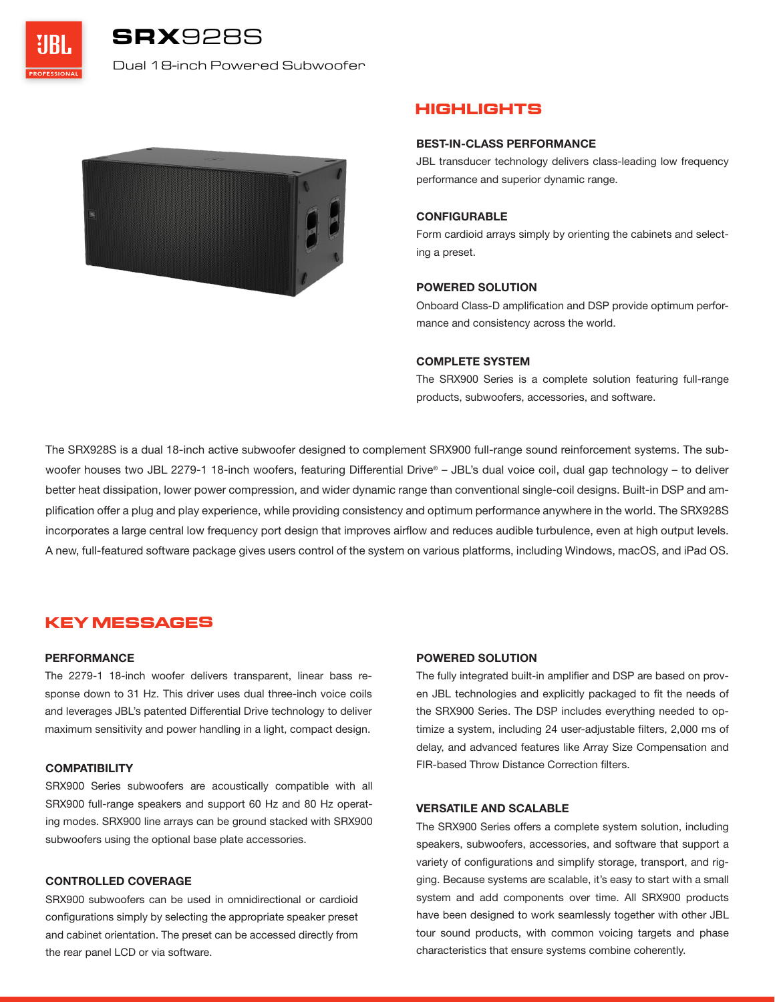SRX928S

Dual 18-inch Powered Subwoofer



# **HIGHLIGHTS**

### **BEST-IN-CLASS PERFORMANCE**

JBL transducer technology delivers class-leading low frequency performance and superior dynamic range.

# **CONFIGURABLE**

Form cardioid arrays simply by orienting the cabinets and selecting a preset.

# **POWERED SOLUTION**

Onboard Class-D amplification and DSP provide optimum performance and consistency across the world.

# **COMPLETE SYSTEM**

The SRX900 Series is a complete solution featuring full-range products, subwoofers, accessories, and software.

The SRX928S is a dual 18-inch active subwoofer designed to complement SRX900 full-range sound reinforcement systems. The subwoofer houses two JBL 2279-1 18-inch woofers, featuring Differential Drive® – JBL's dual voice coil, dual gap technology – to deliver better heat dissipation, lower power compression, and wider dynamic range than conventional single-coil designs. Built-in DSP and amplification offer a plug and play experience, while providing consistency and optimum performance anywhere in the world. The SRX928S incorporates a large central low frequency port design that improves airflow and reduces audible turbulence, even at high output levels. A new, full-featured software package gives users control of the system on various platforms, including Windows, macOS, and iPad OS.

# **KEY MESSAGES**

### **PERFORMANCE**

The 2279-1 18-inch woofer delivers transparent, linear bass response down to 31 Hz. This driver uses dual three-inch voice coils and leverages JBL's patented Differential Drive technology to deliver maximum sensitivity and power handling in a light, compact design.

# **COMPATIBILITY**

SRX900 Series subwoofers are acoustically compatible with all SRX900 full-range speakers and support 60 Hz and 80 Hz operating modes. SRX900 line arrays can be ground stacked with SRX900 subwoofers using the optional base plate accessories.

# **CONTROLLED COVERAGE**

SRX900 subwoofers can be used in omnidirectional or cardioid configurations simply by selecting the appropriate speaker preset and cabinet orientation. The preset can be accessed directly from the rear panel LCD or via software.

# **POWERED SOLUTION**

The fully integrated built-in amplifier and DSP are based on proven JBL technologies and explicitly packaged to fit the needs of the SRX900 Series. The DSP includes everything needed to optimize a system, including 24 user-adjustable filters, 2,000 ms of delay, and advanced features like Array Size Compensation and FIR-based Throw Distance Correction filters.

### **VERSATILE AND SCALABLE**

The SRX900 Series offers a complete system solution, including speakers, subwoofers, accessories, and software that support a variety of configurations and simplify storage, transport, and rigging. Because systems are scalable, it's easy to start with a small system and add components over time. All SRX900 products have been designed to work seamlessly together with other JBL tour sound products, with common voicing targets and phase characteristics that ensure systems combine coherently.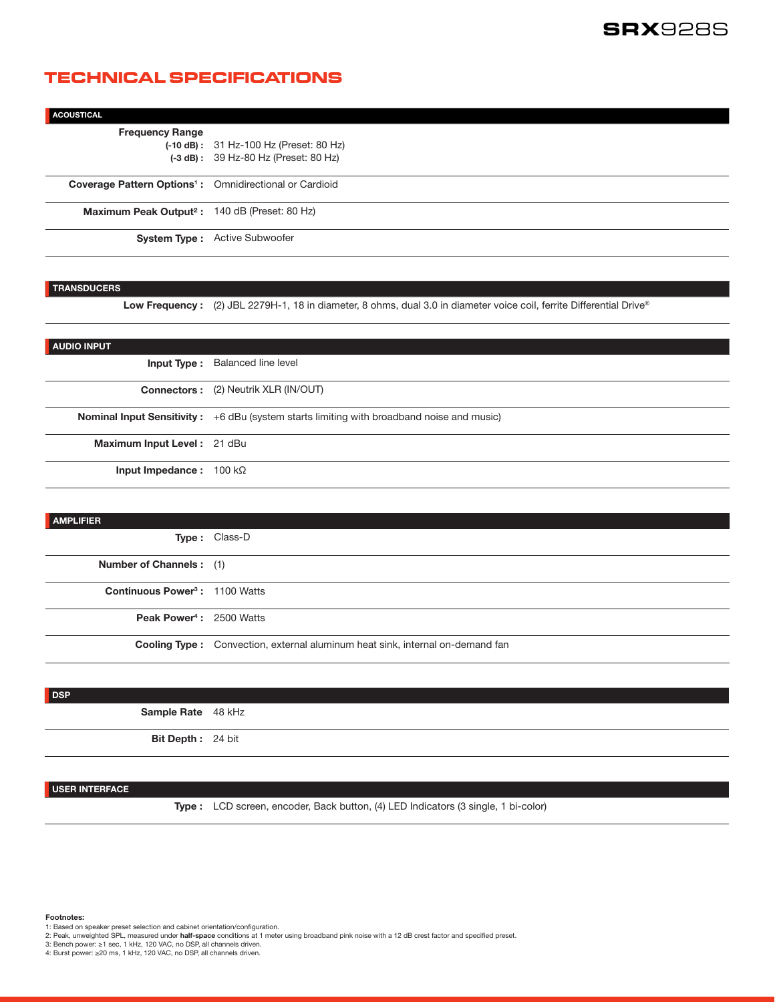# **TECHNICAL SPECIFICATIONS**

| <b>ACOUSTICAL</b>                                                   |                                                                                    |
|---------------------------------------------------------------------|------------------------------------------------------------------------------------|
| <b>Frequency Range</b>                                              | $(-10 dB):$ 31 Hz-100 Hz (Preset: 80 Hz)<br>$(-3 dB):$ 39 Hz-80 Hz (Preset: 80 Hz) |
| Coverage Pattern Options <sup>1</sup> : Omnidirectional or Cardioid |                                                                                    |
| Maximum Peak Output <sup>2</sup> : 140 dB (Preset: 80 Hz)           |                                                                                    |
|                                                                     | <b>System Type:</b> Active Subwoofer                                               |

#### **TRANSDUCERS**

Low Frequency : (2) JBL 2279H-1, 18 in diameter, 8 ohms, dual 3.0 in diameter voice coil, ferrite Differential Drive®

| <b>AUDIO INPUT</b>                    |                                                                                                  |
|---------------------------------------|--------------------------------------------------------------------------------------------------|
|                                       | <b>Input Type:</b> Balanced line level                                                           |
|                                       | <b>Connectors:</b> (2) Neutrik XLR (IN/OUT)                                                      |
|                                       | <b>Nominal Input Sensitivity:</b> +6 dBu (system starts limiting with broadband noise and music) |
| Maximum Input Level: 21 dBu           |                                                                                                  |
| <b>Input Impedance:</b> $100 k\Omega$ |                                                                                                  |

| <b>AMPLIFIER</b>                           |                                                                                      |
|--------------------------------------------|--------------------------------------------------------------------------------------|
|                                            | Type: Class-D                                                                        |
| <b>Number of Channels:</b> (1)             |                                                                                      |
| Continuous Power <sup>3</sup> : 1100 Watts |                                                                                      |
| Peak Power <sup>4</sup> : 2500 Watts       |                                                                                      |
|                                            | <b>Cooling Type:</b> Convection, external aluminum heat sink, internal on-demand fan |



# **USER INTERFACE**

**Type :** LCD screen, encoder, Back button, (4) LED Indicators (3 single, 1 bi-color)

**Footnotes:**

- 1: Based on speaker preset selection and cabinet orientation/configuration.
- 2: Peak, unweighted SPL, measured under **half-space** conditions at 1 meter using broadband pink noise with a 12 dB crest factor and specified preset.
- 3: Bench power: ≥1 sec, 1 kHz, 120 VAC, no DSP, all channels driven. 4: Burst power: ≥20 ms, 1 kHz, 120 VAC, no DSP, all channels driven.
-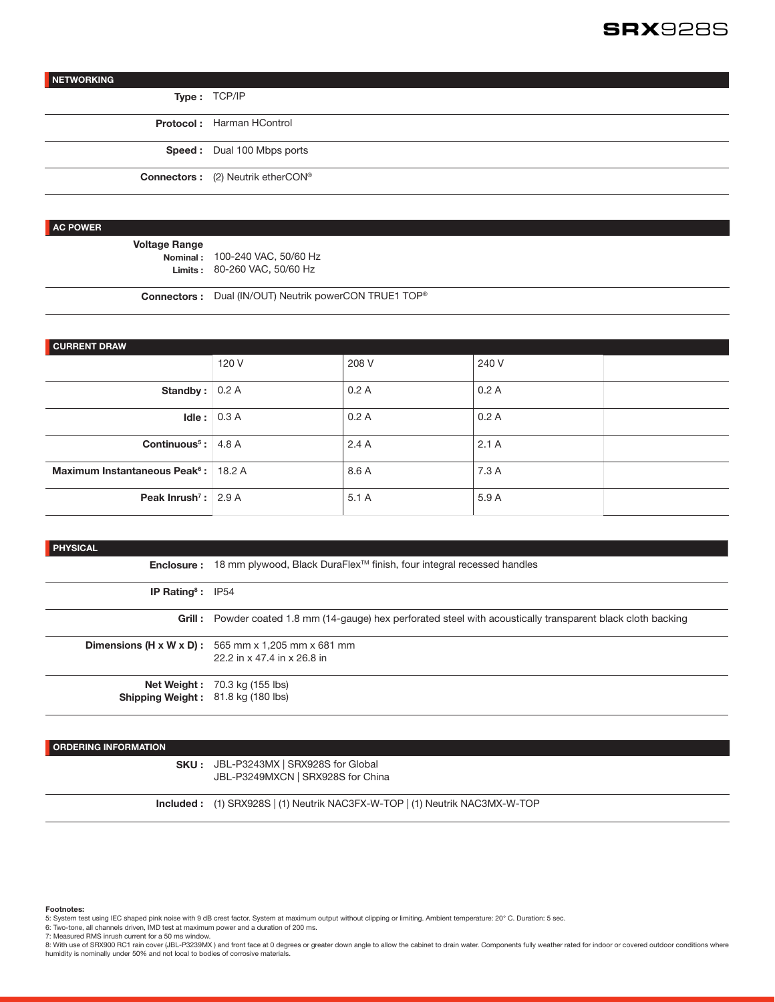# SRX928S

# **NETWORKING**

**Type :** TCP/IP

**Protocol :** Harman HControl **Speed :** Dual 100 Mbps ports

**Connectors :** (2) Neutrik etherCON®

#### **AC POWER**

**Voltage Range**

**Nominal :** 100-240 VAC, 50/60 Hz **Limits :** 80-260 VAC, 50/60 Hz

**Connectors :** Dual (IN/OUT) Neutrik powerCON TRUE1 TOP®

| <b>CURRENT DRAW</b>                              |       |       |       |  |
|--------------------------------------------------|-------|-------|-------|--|
|                                                  |       |       |       |  |
|                                                  | 120 V | 208 V | 240 V |  |
|                                                  |       |       |       |  |
| Standby:                                         | 0.2A  | 0.2A  | 0.2A  |  |
| Idle:                                            | 0.3A  | 0.2A  | 0.2A  |  |
| Continuous <sup>5</sup> :                        | 4.8 A | 2.4A  | 2.1A  |  |
| Maximum Instantaneous Peak <sup>6</sup> : 18.2 A |       | 8.6 A | 7.3 A |  |
| Peak Inrush <sup>7</sup> :                       | 2.9A  | 5.1A  | 5.9 A |  |

#### **PHYSICAL**

|                                           | <b>Enclosure:</b> 18 mm plywood, Black DuraFlex <sup>™</sup> finish, four integral recessed handles            |
|-------------------------------------------|----------------------------------------------------------------------------------------------------------------|
| <b>IP Rating<sup>8</sup>: IP54</b>        |                                                                                                                |
|                                           | Grill : Powder coated 1.8 mm (14-gauge) hex perforated steel with acoustically transparent black cloth backing |
|                                           | <b>Dimensions (H x W x D):</b> 565 mm x 1,205 mm x 681 mm                                                      |
|                                           | 22.2 in x 47.4 in x 26.8 in                                                                                    |
|                                           | <b>Net Weight:</b> 70.3 kg (155 lbs)                                                                           |
| <b>Shipping Weight:</b> 81.8 kg (180 lbs) |                                                                                                                |

# **ORDERING INFORMATION**

# **SKU :** JBL-P3243MX | SRX928S for Global

JBL-P3249MXCN | SRX928S for China

**Included :** (1) SRX928S | (1) Neutrik NAC3FX-W-TOP | (1) Neutrik NAC3MX-W-TOP

#### **Footnotes:**

- 5: System test using IEC shaped pink noise with 9 dB crest factor. System at maximum output without clipping or limiting. Ambient temperature: 20° C. Duration: 5 sec.
- 6: Two-tone, all channels driven, IMD test at maximum power and a duration of 200 ms. 7: Measured RMS inrush current for a 50 ms window.
- 

8: With use of SRX900 RC1 rain cover (JBL-P3239MX) and front face at 0 degrees or greater down angle to allow the cabinet to drain water. Components fully weather rated for indoor or covered outdoor conditions where humidity is nominally under 50% and not local to bodies of corrosive materials.